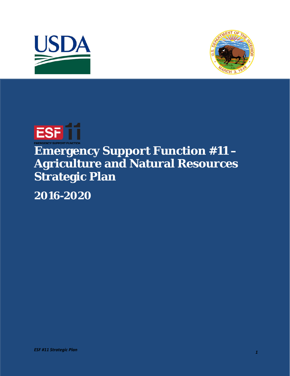





## **Emergency Support Function #11 – Agriculture and Natural Resources Strategic Plan**

**2016-2020**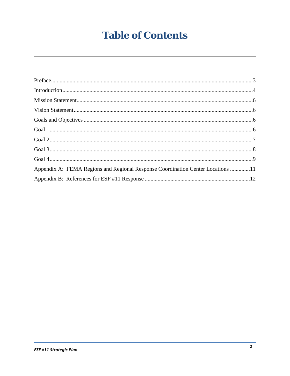## **Table of Contents**

| Appendix A: FEMA Regions and Regional Response Coordination Center Locations 11 |  |
|---------------------------------------------------------------------------------|--|
|                                                                                 |  |
|                                                                                 |  |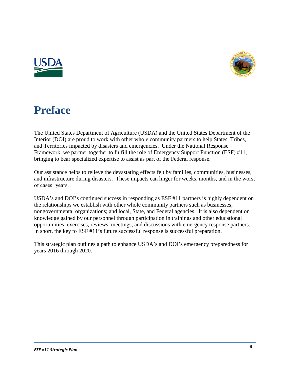



## **Preface**

bringing to bear specialized expertise to assist as part of the Federal response. The United States Department of Agriculture (USDA) and the United States Department of the Interior (DOI) are proud to work with other whole community partners to help States, Tribes, and Territories impacted by disasters and emergencies. Under the National Response Framework, we partner together to fulfill the role of Emergency Support Function (ESF) #11,

Our assistance helps to relieve the devastating effects felt by families, communities, businesses, and infrastructure during disasters. These impacts can linger for weeks, months, and in the worst of cases−years.

USDA's and DOI's continued success in responding as ESF #11 partners is highly dependent on the relationships we establish with other whole community partners such as businesses; nongovernmental organizations; and local, State, and Federal agencies. It is also dependent on knowledge gained by our personnel through participation in trainings and other educational opportunities, exercises, reviews, meetings, and discussions with emergency response partners. In short, the key to ESF #11's future successful response is successful preparation.

 years 2016 through 2020. This strategic plan outlines a path to enhance USDA's and DOI's emergency preparedness for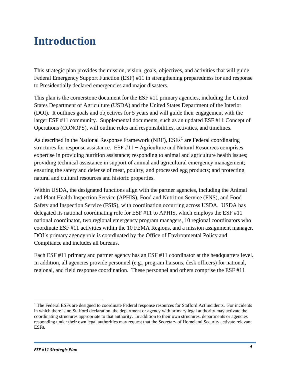## **Introduction**

This strategic plan provides the mission, vision, goals, objectives, and activities that will guide Federal Emergency Support Function (ESF) #11 in strengthening preparedness for and response to Presidentially declared emergencies and major disasters.

 States Department of Agriculture (USDA) and the United States Department of the Interior Operations (CONOPS), will outline roles and responsibilities, activities, and timelines. This plan is the cornerstone document for the ESF #11 primary agencies, including the United (DOI). It outlines goals and objectives for 5 years and will guide their engagement with the larger ESF #11 community. Supplemental documents, such as an updated ESF #11 Concept of

As described in the National Response Framework (NRF),  $ESFs<sup>1</sup>$  $ESFs<sup>1</sup>$  $ESFs<sup>1</sup>$  are Federal coordinating structures for response assistance. ESF #11 − Agriculture and Natural Resources comprises expertise in providing nutrition assistance; responding to animal and agriculture health issues; providing technical assistance in support of animal and agricultural emergency management; ensuring the safety and defense of meat, poultry, and processed egg products; and protecting natural and cultural resources and historic properties.

 Safety and Inspection Service (FSIS), with coordination occurring across USDA. USDA has Within USDA, the designated functions align with the partner agencies, including the Animal and Plant Health Inspection Service (APHIS), Food and Nutrition Service (FNS), and Food delegated its national coordinating role for ESF #11 to APHIS, which employs the ESF #11 national coordinator, two regional emergency program managers, 10 regional coordinators who coordinate ESF #11 activities within the 10 FEMA Regions, and a mission assignment manager. DOI's primary agency role is coordinated by the Office of Environmental Policy and Compliance and includes all bureaus.

Each ESF #11 primary and partner agency has an ESF #11 coordinator at the headquarters level. In addition, all agencies provide personnel (e.g., program liaisons, desk officers) for national, regional, and field response coordination. These personnel and others comprise the ESF #11

 $\overline{\phantom{a}}$ 

<span id="page-3-0"></span><sup>&</sup>lt;sup>1</sup> The Federal ESFs are designed to coordinate Federal response resources for Stafford Act incidents. For incidents in which there is no Stafford declaration, the department or agency with primary legal authority may activate the coordinating structures appropriate to that authority. In addition to their own structures, departments or agencies responding under their own legal authorities may request that the Secretary of Homeland Security activate relevant ESFs.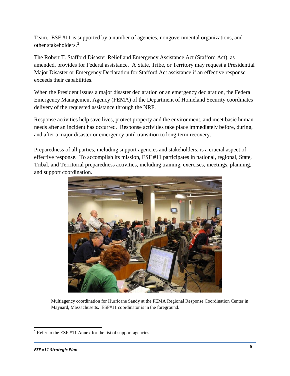Team. ESF #11 is supported by a number of agencies, nongovernmental organizations, and other stakeholders.[2](#page-4-0)

 amended, provides for Federal assistance. A State, Tribe, or Territory may request a Presidential The Robert T. Stafford Disaster Relief and Emergency Assistance Act (Stafford Act), as Major Disaster or Emergency Declaration for Stafford Act assistance if an effective response exceeds their capabilities.

When the President issues a major disaster declaration or an emergency declaration, the Federal Emergency Management Agency (FEMA) of the Department of Homeland Security coordinates delivery of the requested assistance through the NRF.

Response activities help save lives, protect property and the environment, and meet basic human needs after an incident has occurred. Response activities take place immediately before, during, and after a major disaster or emergency until transition to long-term recovery.

Preparedness of all parties, including support agencies and stakeholders, is a crucial aspect of effective response. To accomplish its mission, ESF #11 participates in national, regional, State, Tribal, and Territorial preparedness activities, including training, exercises, meetings, planning, and support coordination.



 Maynard, Massachusetts. ESF#11 coordinator is in the foreground. Multiagency coordination for Hurricane Sandy at the FEMA Regional Response Coordination Center in

l

<span id="page-4-0"></span><sup>2</sup> Refer to the ESF #11 Annex for the list of support agencies.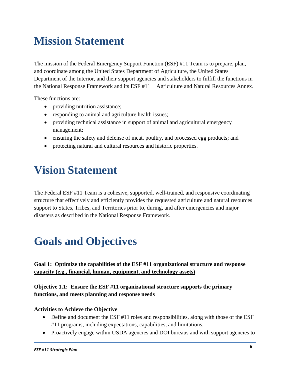# **Mission Statement**

 The mission of the Federal Emergency Support Function (ESF) #11 Team is to prepare, plan, the National Response Framework and its ESF #11 − Agriculture and Natural Resources Annex. and coordinate among the United States Department of Agriculture, the United States Department of the Interior, and their support agencies and stakeholders to fulfill the functions in

These functions are:

- providing nutrition assistance;
- responding to animal and agriculture health issues;
- providing technical assistance in support of animal and agricultural emergency management;
- ensuring the safety and defense of meat, poultry, and processed egg products; and
- protecting natural and cultural resources and historic properties.

## **Vision Statement**

The Federal ESF #11 Team is a cohesive, supported, well-trained, and responsive coordinating structure that effectively and efficiently provides the requested agriculture and natural resources support to States, Tribes, and Territories prior to, during, and after emergencies and major disasters as described in the National Response Framework.

## **Goals and Objectives**

## **Goal 1: Optimize the capabilities of the ESF #11 organizational structure and response capacity (e.g., financial, human, equipment, and technology assets)**

### **Objective 1.1: Ensure the ESF #11 organizational structure supports the primary functions, and meets planning and response needs**

#### **Activities to Achieve the Objective**

- Define and document the ESF #11 roles and responsibilities, along with those of the ESF #11 programs, including expectations, capabilities, and limitations.
- Proactively engage within USDA agencies and DOI bureaus and with support agencies to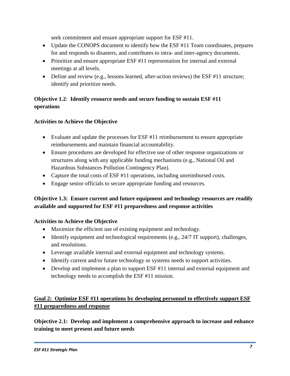seek commitment and ensure appropriate support for ESF #11.

- Update the CONOPS document to identify how the ESF #11 Team coordinates, prepares for and responds to disasters, and contributes to intra- and inter-agency documents.
- Prioritize and ensure appropriate ESF #11 representation for internal and external meetings at all levels.
- Define and review (e.g., lessons learned, after-action reviews) the ESF #11 structure; identify and prioritize needs.

## **Objective 1.2**: **Identify resource needs and secure funding to sustain ESF #11 operations**

### **Activities to Achieve the Objective**

- Evaluate and update the processes for ESF #11 reimbursement to ensure appropriate reimbursements and maintain financial accountability.
- • Ensure procedures are developed for effective use of other response organizations or Hazardous Substances Pollution Contingency Plan). structures along with any applicable funding mechanisms (e.g., National Oil and
- Capture the total costs of ESF #11 operations, including unreimbursed costs.
- Engage senior officials to secure appropriate funding and resources.

## **Objective 1.3: Ensure current and future equipment and technology resources are readily available and supported for ESF #11 preparedness and response activities**

### **Activities to Achieve the Objective**

- Maximize the efficient use of existing equipment and technology.
- Identify equipment and technological requirements (e.g., 24/7 IT support), challenges, and resolutions.
- Leverage available internal and external equipment and technology systems.
- Identify current and/or future technology or systems needs to support activities.
- Develop and implement a plan to support ESF #11 internal and external equipment and technology needs to accomplish the ESF #11 mission.

## **Goal 2: Optimize ESF #11 operations by developing personnel to effectively support ESF #11 preparedness and response**

**Objective 2.1: Develop and implement a comprehensive approach to increase and enhance training to meet present and future needs**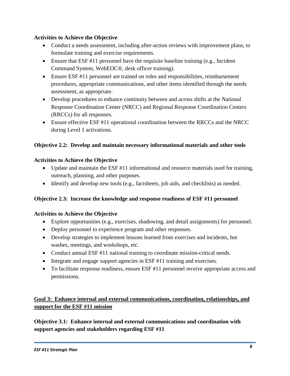#### **Activities to Achieve the Objective**

- Conduct a needs assessment, including after-action reviews with improvement plans, to formulate training and exercise requirements.
- Command System, WebEOC®, desk officer training). • Ensure that ESF  $#11$  personnel have the requisite baseline training (e.g., Incident
- Ensure ESF #11 personnel are trained on roles and responsibilities, reimbursement procedures, appropriate communications, and other items identified through the needs assessment, as appropriate.
- • Develop procedures to enhance continuity between and across shifts at the National Response Coordination Center (NRCC) and Regional Response Coordination Centers (RRCCs) for all responses.
- Ensure effective ESF #11 operational coordination between the RRCCs and the NRCC during Level 1 activations.

### **Objective 2.2: Develop and maintain necessary informational materials and other tools**

#### **Activities to Achieve the Objective**

- Update and maintain the ESF  $#11$  informational and resource materials used for training, outreach, planning, and other purposes.
- Identify and develop new tools (e.g., factsheets, job aids, and checklists) as needed.

#### **Objective 2.3: Increase the knowledge and response readiness of ESF #11 personnel**

#### **Activities to Achieve the Objective**

- • Explore opportunities (e.g., exercises, shadowing, and detail assignments) for personnel.
- Deploy personnel to experience program and other responses.
- washes, meetings, and workshops, etc. • Develop strategies to implement lessons learned from exercises and incidents, hot
- Conduct annual ESF #11 national training to coordinate mission-critical needs.
- Integrate and engage support agencies in ESF #11 training and exercises.
- To facilitate response readiness, ensure ESF #11 personnel receive appropriate access and permissions.

## Goal 3: Enhance internal and external communications, coordination, relationships, and **support for the ESF #11 mission**

 **Objective 3.1: Enhance internal and external communications and coordination with support agencies and stakeholders regarding ESF #11**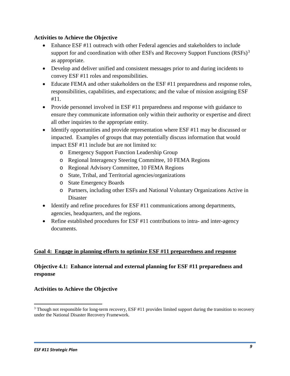#### **Activities to Achieve the Objective**

- Enhance ESF #11 outreach with other Federal agencies and stakeholders to include support for and coordination with other ESFs and Recovery Support Functions  $(RSFs)^3$ as appropriate.
- Develop and deliver unified and consistent messages prior to and during incidents to convey ESF #11 roles and responsibilities.
- Educate FEMA and other stakeholders on the ESF #11 preparedness and response roles, responsibilities, capabilities, and expectations; and the value of mission assigning ESF #11.
- ensure they communicate information only within their authority or expertise and direct all other inquiries to the appropriate entity. • Provide personnel involved in ESF #11 preparedness and response with guidance to
- Identify opportunities and provide representation where ESF #11 may be discussed or impacted. Examples of groups that may potentially discuss information that would impact ESF #11 include but are not limited to:
	- o Emergency Support Function Leadership Group
	- o Regional Interagency Steering Committee, 10 FEMA Regions
	- o Regional Advisory Committee, 10 FEMA Regions
	- o State, Tribal, and Territorial agencies/organizations
	- o State Emergency Boards
	- o Partners, including other ESFs and National Voluntary Organizations Active in Disaster
- Identify and refine procedures for ESF #11 communications among departments, agencies, headquarters, and the regions.
- Refine established procedures for ESF #11 contributions to intra- and inter-agency documents.

#### **Goal 4: Engage in planning efforts to optimize ESF #11 preparedness and response**

### **Objective 4.1: Enhance internal and external planning for ESF #11 preparedness and response**

#### **Activities to Achieve the Objective**

l

<span id="page-8-0"></span><sup>&</sup>lt;sup>3</sup> Though not responsible for long-term recovery, ESF #11 provides limited support during the transition to recovery under the National Disaster Recovery Framework.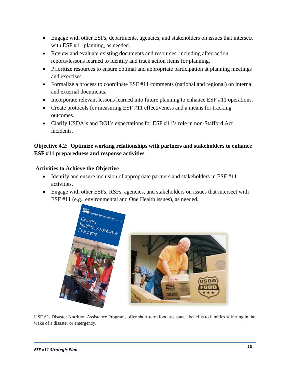- Engage with other ESFs, departments, agencies, and stakeholders on issues that intersect with ESF #11 planning, as needed.
- reports/lessons learned to identify and track action items for planning. • Review and evaluate existing documents and resources, including after-action
- Prioritize resources to ensure optimal and appropriate participation at planning meetings and exercises.
- and external documents. • Formalize a process to coordinate ESF #11 comments (national and regional) on internal
- Incorporate relevant lessons learned into future planning to enhance ESF #11 operations.
- Create protocols for measuring ESF #11 effectiveness and a means for tracking outcomes.
- incidents. • Clarify USDA's and DOI's expectations for ESF #11's role in non-Stafford Act

### **Objective 4.2: Optimize working relationships with partners and stakeholders to enhance ESF #11 preparedness and response activities**

#### **Activities to Achieve the Objective**

- Identify and ensure inclusion of appropriate partners and stakeholders in ESF #11 activities.
- ESF #11 (e.g., environmental and One Health issues), as needed. • Engage with other ESFs, RSFs, agencies, and stakeholders on issues that intersect with





USDA's Disaster Nutrition Assistance Programs offer short-term food assistance benefits to families suffering in the wake of a disaster or emergency.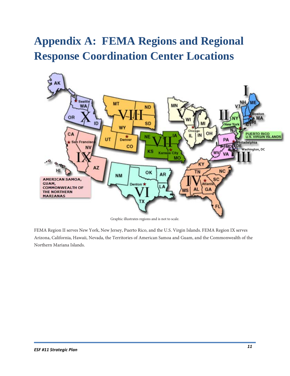# <span id="page-10-0"></span> **Appendix A: FEMA Regions and Regional Response Coordination Center Locations**



Graphic illustrates regions and is not to scale.

 FEMA Region II serves New York, New Jersey, Puerto Rico, and the U.S. Virgin Islands. FEMA Region IX serves Arizona, California, Hawaii, Nevada, the Territories of American Samoa and Guam, and the Commonwealth of the Northern Mariana Islands.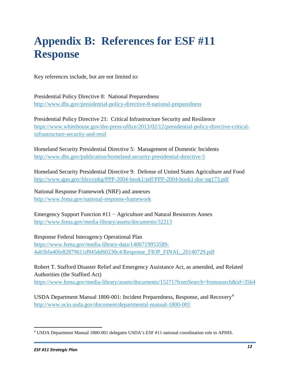# **Appendix B: References for ESF #11 Response**

Key references include, but are not limited to:

 Presidential Policy Directive 8: National Preparedness <http://www.dhs.gov/presidential-policy-directive-8-national-preparedness>

Presidential Policy Directive 21: Critical Infrastructure Security and Resilience [https://www.whitehouse.gov/the-press-office/2013/02/12/presidential-policy-directive-critical](https://www.whitehouse.gov/the-press-office/2013/02/12/presidential-policy-directive-critical-infrastructure-security-and-resil)[infrastructure-security-and-resil](https://www.whitehouse.gov/the-press-office/2013/02/12/presidential-policy-directive-critical-infrastructure-security-and-resil) 

Homeland Security Presidential Directive 5: Management of Domestic Incidents <http://www.dhs.gov/publication/homeland-security-presidential-directive-5>

 Homeland Security Presidential Directive 9: Defense of United States Agriculture and Food <http://www.gpo.gov/fdsys/pkg/PPP-2004-book1/pdf/PPP-2004-book1-doc-pg173.pdf>

National Response Framework (NRF) and annexes <http://www.fema.gov/national-response-framework>

Emergency Support Function #11 − Agriculture and Natural Resources Annex <http://www.fema.gov/media-library/assets/documents/32213>

Response Federal Interagency Operational Plan [https://www.fema.gov/media-library-data/1406719953589](https://www.fema.gov/media-library-data/1406719953589-4ab5bfa40fe82879611d945dd60230c4/Response_FIOP_FINAL_20140729.pdf) [4ab5bfa40fe82879611d945dd60230c4/Response\\_FIOP\\_FINAL\\_20140729.pdf](https://www.fema.gov/media-library-data/1406719953589-4ab5bfa40fe82879611d945dd60230c4/Response_FIOP_FINAL_20140729.pdf) 

 Robert T. Stafford Disaster Relief and Emergency Assistance Act, as amended, and Related Authorities (the Stafford Act) <https://www.fema.gov/media-library/assets/documents/15271?fromSearch=fromsearch&id=3564>

USDA Department Manual 1800-001: Incident Preparedness, Response, and Recovery<sup>4</sup> <http://www.ocio.usda.gov/document/departmental-manual-1800-001>

<span id="page-11-0"></span>l 4 USDA Department Manual 1800-001 delegates USDA's ESF #11 national coordination role to APHIS.